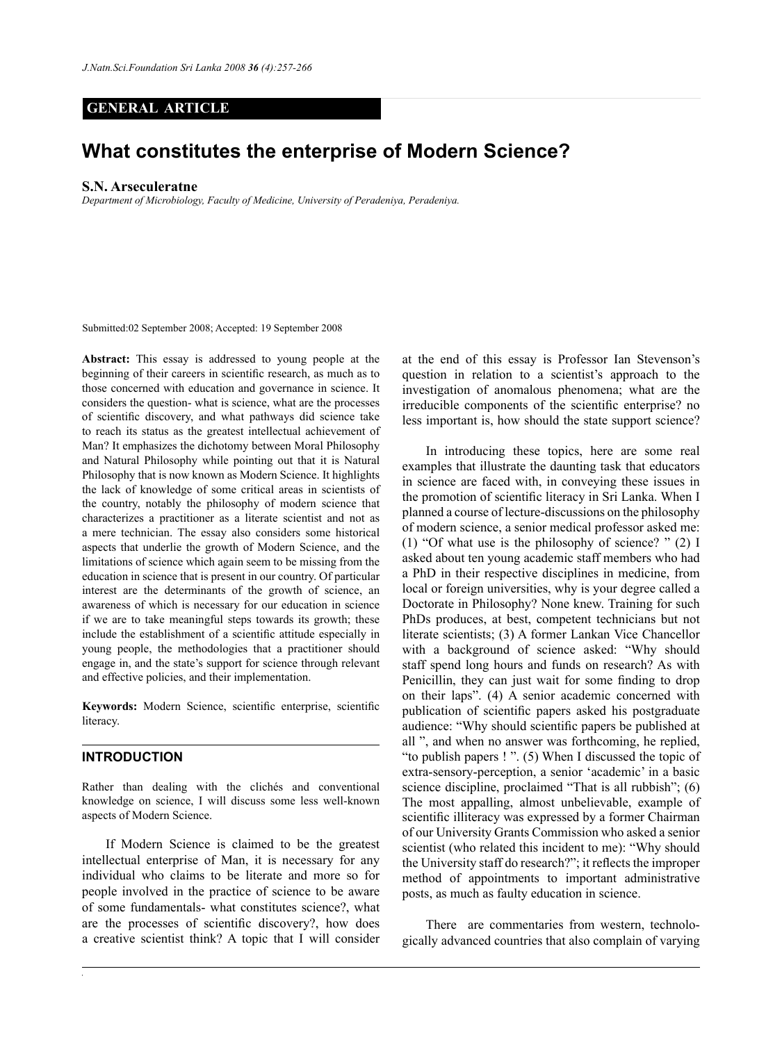# **GENERAL ARTICLE**

# **What constitutes the enterprise of Modern Science?**

#### **S.N. Arseculeratne**

*Department of Microbiology, Faculty of Medicine, University of Peradeniya, Peradeniya.*

Submitted:02 September 2008; Accepted: 19 September 2008

**Abstract:** This essay is addressed to young people at the beginning of their careers in scientific research, as much as to those concerned with education and governance in science. It considers the question- what is science, what are the processes of scientific discovery, and what pathways did science take to reach its status as the greatest intellectual achievement of Man? It emphasizes the dichotomy between Moral Philosophy and Natural Philosophy while pointing out that it is Natural Philosophy that is now known as Modern Science. It highlights the lack of knowledge of some critical areas in scientists of the country, notably the philosophy of modern science that characterizes a practitioner as a literate scientist and not as a mere technician. The essay also considers some historical aspects that underlie the growth of Modern Science, and the limitations of science which again seem to be missing from the education in science that is present in our country. Of particular interest are the determinants of the growth of science, an awareness of which is necessary for our education in science if we are to take meaningful steps towards its growth; these include the establishment of a scientific attitude especially in young people, the methodologies that a practitioner should engage in, and the state's support for science through relevant and effective policies, and their implementation.

**Keywords:** Modern Science, scientific enterprise, scientific literacy.

## **INTRODUCTION**

Rather than dealing with the clichés and conventional knowledge on science, I will discuss some less well-known aspects of Modern Science.

If Modern Science is claimed to be the greatest intellectual enterprise of Man, it is necessary for any individual who claims to be literate and more so for people involved in the practice of science to be aware of some fundamentals- what constitutes science?, what are the processes of scientific discovery?, how does a creative scientist think? A topic that I will consider at the end of this essay is Professor Ian Stevenson's question in relation to a scientist's approach to the investigation of anomalous phenomena; what are the irreducible components of the scientific enterprise? no less important is, how should the state support science?

In introducing these topics, here are some real examples that illustrate the daunting task that educators in science are faced with, in conveying these issues in the promotion of scientific literacy in Sri Lanka. When I planned a course of lecture-discussions on the philosophy of modern science, a senior medical professor asked me: (1) "Of what use is the philosophy of science? " (2) I asked about ten young academic staff members who had a PhD in their respective disciplines in medicine, from local or foreign universities, why is your degree called a Doctorate in Philosophy? None knew. Training for such PhDs produces, at best, competent technicians but not literate scientists; (3) A former Lankan Vice Chancellor with a background of science asked: "Why should staff spend long hours and funds on research? As with Penicillin, they can just wait for some finding to drop on their laps". (4) A senior academic concerned with publication of scientific papers asked his postgraduate audience: "Why should scientific papers be published at all ", and when no answer was forthcoming, he replied, "to publish papers ! ". (5) When I discussed the topic of extra-sensory-perception, a senior 'academic' in a basic science discipline, proclaimed "That is all rubbish"; (6) The most appalling, almost unbelievable, example of scientific illiteracy was expressed by a former Chairman of our University Grants Commission who asked a senior scientist (who related this incident to me): "Why should the University staff do research?"; it reflects the improper method of appointments to important administrative posts, as much as faulty education in science.

There are commentaries from western, technologically advanced countries that also complain of varying

*Journal of the National Science Foundation of Sri Lanka 36 (4) December 2008*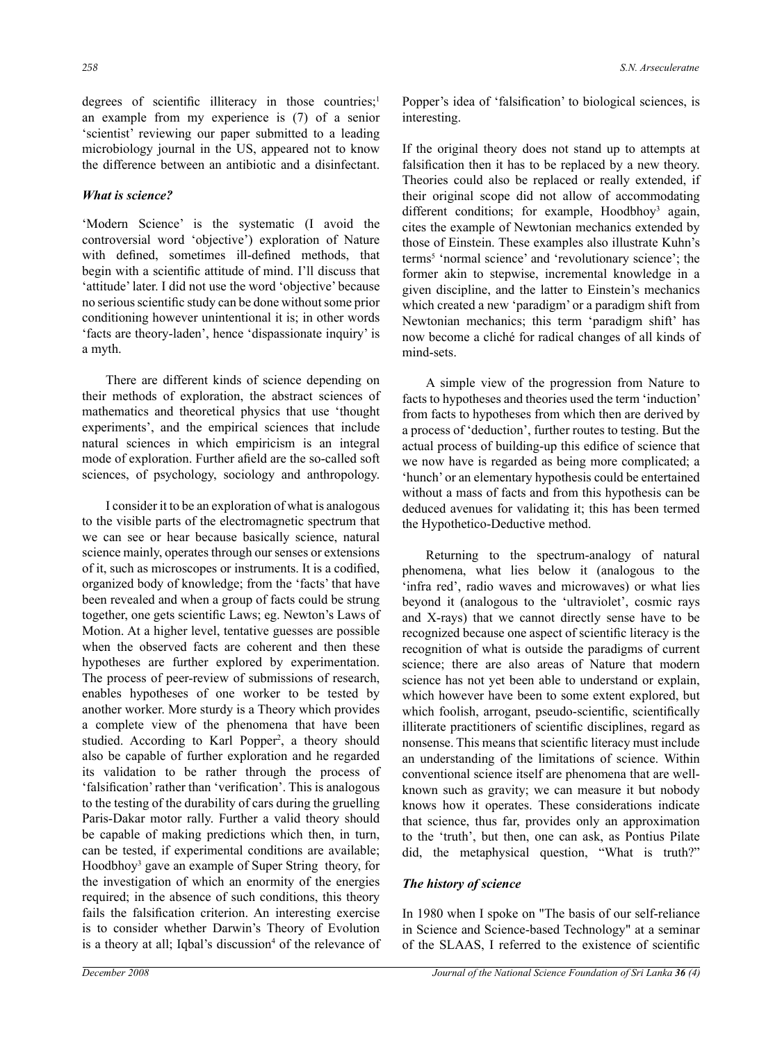degrees of scientific illiteracy in those countries;<sup>1</sup> an example from my experience is (7) of a senior 'scientist' reviewing our paper submitted to a leading microbiology journal in the US, appeared not to know the difference between an antibiotic and a disinfectant.

## *What is science?*

'Modern Science' is the systematic (I avoid the controversial word 'objective') exploration of Nature with defined, sometimes ill-defined methods, that begin with a scientific attitude of mind. I'll discuss that 'attitude' later. I did not use the word 'objective' because no seriousscientific study can be done withoutsome prior conditioning however unintentional it is; in other words 'facts are theory-laden', hence 'dispassionate inquiry' is a myth.

There are different kinds of science depending on their methods of exploration, the abstract sciences of mathematics and theoretical physics that use 'thought experiments', and the empirical sciences that include natural sciences in which empiricism is an integral mode of exploration. Further afield are the so-called soft sciences, of psychology, sociology and anthropology.

I consider it to be an exploration of what is analogous to the visible parts of the electromagnetic spectrum that we can see or hear because basically science, natural science mainly, operates through our senses or extensions of it, such as microscopes or instruments. It is a codified, organized body of knowledge; from the 'facts' that have been revealed and when a group of facts could be strung together, one gets scientific Laws; eg. Newton's Laws of Motion. At a higher level, tentative guesses are possible when the observed facts are coherent and then these hypotheses are further explored by experimentation. The process of peer-review of submissions of research, enables hypotheses of one worker to be tested by another worker. More sturdy is a Theory which provides a complete view of the phenomena that have been studied. According to Karl Popper<sup>2</sup>, a theory should also be capable of further exploration and he regarded its validation to be rather through the process of 'falsification'rather than 'verification'. This is analogous to the testing of the durability of cars during the gruelling Paris-Dakar motor rally. Further a valid theory should be capable of making predictions which then, in turn, can be tested, if experimental conditions are available; Hoodbhoy<sup>3</sup> gave an example of Super String theory, for the investigation of which an enormity of the energies required; in the absence of such conditions, this theory fails the falsification criterion. An interesting exercise is to consider whether Darwin's Theory of Evolution is a theory at all; Iqbal's discussion<sup>4</sup> of the relevance of

Popper's idea of 'falsification' to biological sciences, is interesting.

If the original theory does not stand up to attempts at falsification then it has to be replaced by a new theory. Theories could also be replaced or really extended, if their original scope did not allow of accommodating different conditions; for example, Hoodbhoy<sup>3</sup> again, cites the example of Newtonian mechanics extended by those of Einstein. These examples also illustrate Kuhn's terms5 'normal science' and 'revolutionary science'; the former akin to stepwise, incremental knowledge in a given discipline, and the latter to Einstein's mechanics which created a new 'paradigm' or a paradigm shift from Newtonian mechanics; this term 'paradigm shift' has now become a cliché for radical changes of all kinds of mind-sets.

A simple view of the progression from Nature to facts to hypotheses and theories used the term 'induction' from facts to hypotheses from which then are derived by a process of 'deduction', further routes to testing. But the actual process of building-up this edifice of science that we now have is regarded as being more complicated; a 'hunch' or an elementary hypothesis could be entertained without a mass of facts and from this hypothesis can be deduced avenues for validating it; this has been termed the Hypothetico-Deductive method.

Returning to the spectrum-analogy of natural phenomena, what lies below it (analogous to the 'infra red', radio waves and microwaves) or what lies beyond it (analogous to the 'ultraviolet', cosmic rays and X-rays) that we cannot directly sense have to be recognized because one aspect of scientific literacy is the recognition of what is outside the paradigms of current science; there are also areas of Nature that modern science has not yet been able to understand or explain, which however have been to some extent explored, but which foolish, arrogant, pseudo-scientific, scientifically illiterate practitioners of scientific disciplines, regard as nonsense. This means that scientific literacy must include an understanding of the limitations of science. Within conventional science itself are phenomena that are wellknown such as gravity; we can measure it but nobody knows how it operates. These considerations indicate that science, thus far, provides only an approximation to the 'truth', but then, one can ask, as Pontius Pilate did, the metaphysical question, "What is truth?"

#### *The history of science*

In 1980 when I spoke on "The basis of our self-reliance in Science and Science-based Technology" at a seminar of the SLAAS, I referred to the existence of scientific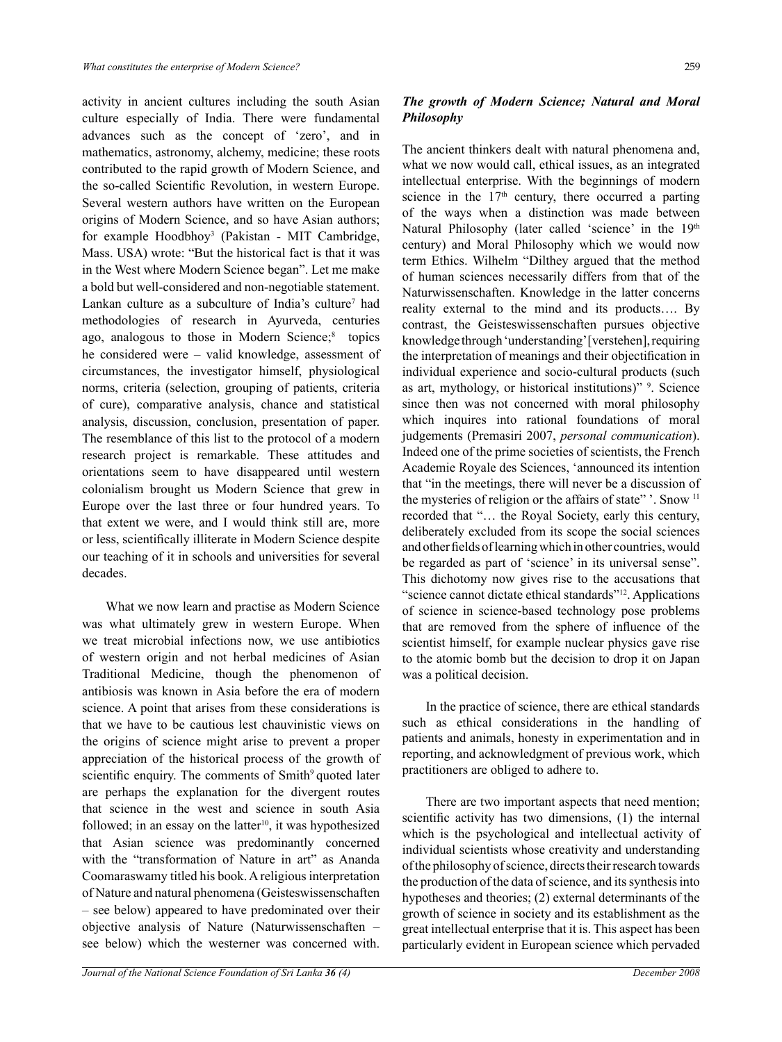activity in ancient cultures including the south Asian culture especially of India. There were fundamental advances such as the concept of 'zero', and in mathematics, astronomy, alchemy, medicine; these roots contributed to the rapid growth of Modern Science, and the so-called Scientific Revolution, in western Europe. Several western authors have written on the European origins of Modern Science, and so have Asian authors; for example Hoodbhoy3 (Pakistan - MIT Cambridge, Mass. USA) wrote: "But the historical fact is that it was in the West where Modern Science began". Let me make a bold but well-considered and non-negotiable statement. Lankan culture as a subculture of India's culture<sup>7</sup> had methodologies of research in Ayurveda, centuries ago, analogous to those in Modern Science;<sup>8</sup> topics he considered were – valid knowledge, assessment of circumstances, the investigator himself, physiological norms, criteria (selection, grouping of patients, criteria of cure), comparative analysis, chance and statistical analysis, discussion, conclusion, presentation of paper. The resemblance of this list to the protocol of a modern research project is remarkable. These attitudes and orientations seem to have disappeared until western colonialism brought us Modern Science that grew in Europe over the last three or four hundred years. To that extent we were, and I would think still are, more or less, scientifically illiterate in Modern Science despite our teaching of it in schools and universities for several decades.

What we now learn and practise as Modern Science was what ultimately grew in western Europe. When we treat microbial infections now, we use antibiotics of western origin and not herbal medicines of Asian Traditional Medicine, though the phenomenon of antibiosis was known in Asia before the era of modern science. A point that arises from these considerations is that we have to be cautious lest chauvinistic views on the origins of science might arise to prevent a proper appreciation of the historical process of the growth of scientific enquiry. The comments of Smith<sup>9</sup> quoted later are perhaps the explanation for the divergent routes that science in the west and science in south Asia followed; in an essay on the latter<sup>10</sup>, it was hypothesized that Asian science was predominantly concerned with the "transformation of Nature in art" as Ananda Coomaraswamy titled his book. A religious interpretation of Nature and natural phenomena (Geisteswissenschaften – see below) appeared to have predominated over their objective analysis of Nature (Naturwissenschaften – see below) which the westerner was concerned with.

# *The growth of Modern Science; Natural and Moral Philosophy*

The ancient thinkers dealt with natural phenomena and, what we now would call, ethical issues, as an integrated intellectual enterprise. With the beginnings of modern science in the  $17<sup>th</sup>$  century, there occurred a parting of the ways when a distinction was made between Natural Philosophy (later called 'science' in the 19<sup>th</sup> century) and Moral Philosophy which we would now term Ethics. Wilhelm "Dilthey argued that the method of human sciences necessarily differs from that of the Naturwissenschaften. Knowledge in the latter concerns reality external to the mind and its products…. By contrast, the Geisteswissenschaften pursues objective knowledge through 'understanding' [verstehen], requiring the interpretation of meanings and their objectification in individual experience and socio-cultural products (such as art, mythology, or historical institutions)" <sup>9</sup>. Science since then was not concerned with moral philosophy which inquires into rational foundations of moral judgements (Premasiri 2007, *personal communication*). Indeed one of the prime societies of scientists, the French Academie Royale des Sciences, 'announced its intention that "in the meetings, there will never be a discussion of the mysteries of religion or the affairs of state"". Snow <sup>11</sup> recorded that "… the Royal Society, early this century, deliberately excluded from its scope the social sciences and other fields of learning which in other countries, would be regarded as part of 'science' in its universal sense". This dichotomy now gives rise to the accusations that "science cannot dictate ethical standards"12. Applications of science in science-based technology pose problems that are removed from the sphere of influence of the scientist himself, for example nuclear physics gave rise to the atomic bomb but the decision to drop it on Japan was a political decision.

In the practice of science, there are ethical standards such as ethical considerations in the handling of patients and animals, honesty in experimentation and in reporting, and acknowledgment of previous work, which practitioners are obliged to adhere to.

There are two important aspects that need mention; scientific activity has two dimensions, (1) the internal which is the psychological and intellectual activity of individual scientists whose creativity and understanding of the philosophy of science, directs their research towards the production of the data of science, and its synthesis into hypotheses and theories; (2) external determinants of the growth of science in society and its establishment as the great intellectual enterprise that it is. This aspect has been particularly evident in European science which pervaded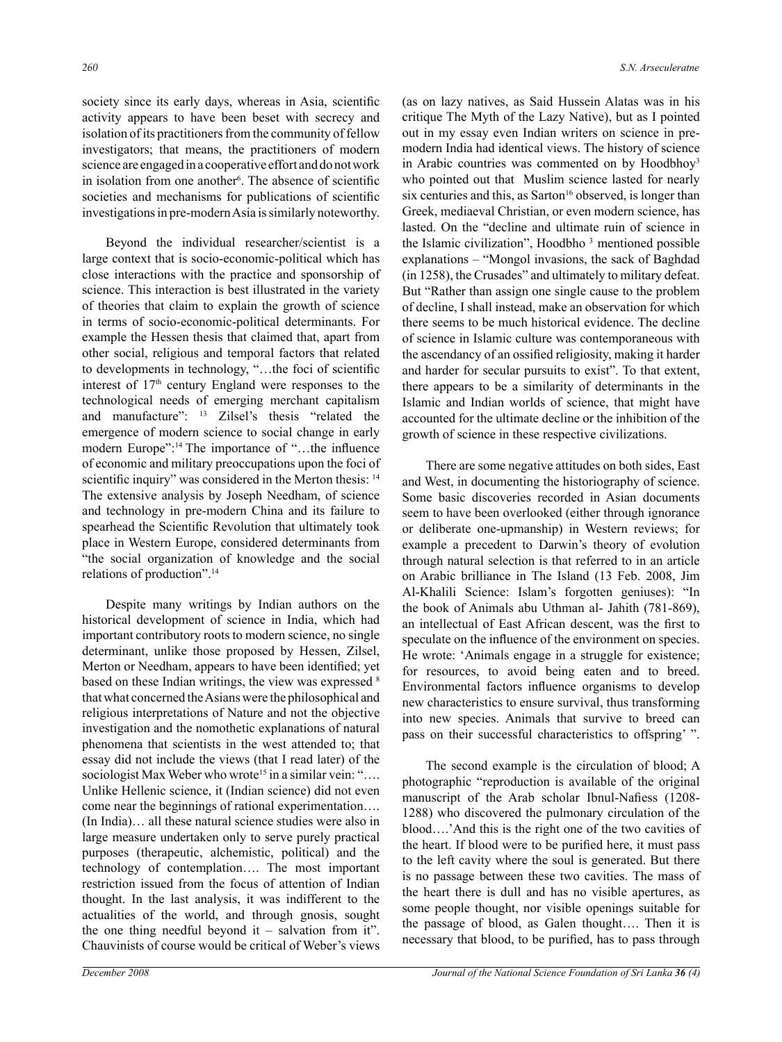society since its early days, whereas in Asia, scientific activity appears to have been beset with secrecy and isolation of its practitioners from the community of fellow investigators; that means, the practitioners of modern science are engaged in a cooperative effort and do not work in isolation from one another<sup>6</sup>. The absence of scientific societies and mechanisms for publications of scientific investigations in pre-modern Asia is similarly noteworthy.

Beyond the individual researcher/scientist is a large context that is socio-economic-political which has close interactions with the practice and sponsorship of science. This interaction is best illustrated in the variety of theories that claim to explain the growth of science in terms of socio-economic-political determinants. For example the Hessen thesis that claimed that, apart from other social, religious and temporal factors that related to developments in technology, "…the foci of scientific interest of  $17<sup>th</sup>$  century England were responses to the technological needs of emerging merchant capitalism and manufacture": 13 Zilsel's thesis "related the emergence of modern science to social change in early modern Europe":<sup>14</sup> The importance of "...the influence of economic and military preoccupations upon the foci of scientific inquiry" was considered in the Merton thesis: 14 The extensive analysis by Joseph Needham, of science and technology in pre-modern China and its failure to spearhead the Scientific Revolution that ultimately took place in Western Europe, considered determinants from "the social organization of knowledge and the social relations of production".14

Despite many writings by Indian authors on the historical development of science in India, which had important contributory roots to modern science, no single determinant, unlike those proposed by Hessen, Zilsel, Merton or Needham, appears to have been identified; yet based on these Indian writings, the view was expressed 8 that what concerned the Asians were the philosophical and religious interpretations of Nature and not the objective investigation and the nomothetic explanations of natural phenomena that scientists in the west attended to; that essay did not include the views (that I read later) of the sociologist Max Weber who wrote<sup>15</sup> in a similar vein: ".... Unlike Hellenic science, it (Indian science) did not even come near the beginnings of rational experimentation…. (In India)… all these natural science studies were also in large measure undertaken only to serve purely practical purposes (therapeutic, alchemistic, political) and the technology of contemplation…. The most important restriction issued from the focus of attention of Indian thought. In the last analysis, it was indifferent to the actualities of the world, and through gnosis, sought the one thing needful beyond it – salvation from it". Chauvinists of course would be critical of Weber's views (as on lazy natives, as Said Hussein Alatas was in his critique The Myth of the Lazy Native), but as I pointed out in my essay even Indian writers on science in premodern India had identical views. The history of science in Arabic countries was commented on by Hoodbhoy<sup>3</sup> who pointed out that Muslim science lasted for nearly six centuries and this, as Sarton<sup>16</sup> observed, is longer than Greek, mediaeval Christian, or even modern science, has lasted. On the "decline and ultimate ruin of science in the Islamic civilization", Hoodbho 3 mentioned possible explanations – "Mongol invasions, the sack of Baghdad (in 1258), the Crusades" and ultimately to military defeat. But "Rather than assign one single cause to the problem of decline, I shall instead, make an observation for which there seems to be much historical evidence. The decline of science in Islamic culture was contemporaneous with the ascendancy of an ossified religiosity, making it harder and harder for secular pursuits to exist". To that extent, there appears to be a similarity of determinants in the Islamic and Indian worlds of science, that might have accounted for the ultimate decline or the inhibition of the growth of science in these respective civilizations.

There are some negative attitudes on both sides, East and West, in documenting the historiography of science. Some basic discoveries recorded in Asian documents seem to have been overlooked (either through ignorance or deliberate one-upmanship) in Western reviews; for example a precedent to Darwin's theory of evolution through natural selection is that referred to in an article on Arabic brilliance in The Island (13 Feb. 2008, Jim Al-Khalili Science: Islam's forgotten geniuses): "In the book of Animals abu Uthman al- Jahith (781-869), an intellectual of East African descent, was the first to speculate on the influence of the environment on species. He wrote: 'Animals engage in a struggle for existence; for resources, to avoid being eaten and to breed. Environmental factors influence organisms to develop new characteristics to ensure survival, thus transforming into new species. Animals that survive to breed can pass on their successful characteristics to offspring' ".

The second example is the circulation of blood; A photographic "reproduction is available of the original manuscript of the Arab scholar Ibnul-Nafiess (1208- 1288) who discovered the pulmonary circulation of the blood….'And this is the right one of the two cavities of the heart. If blood were to be purified here, it must pass to the left cavity where the soul is generated. But there is no passage between these two cavities. The mass of the heart there is dull and has no visible apertures, as some people thought, nor visible openings suitable for the passage of blood, as Galen thought…. Then it is necessary that blood, to be purified, has to pass through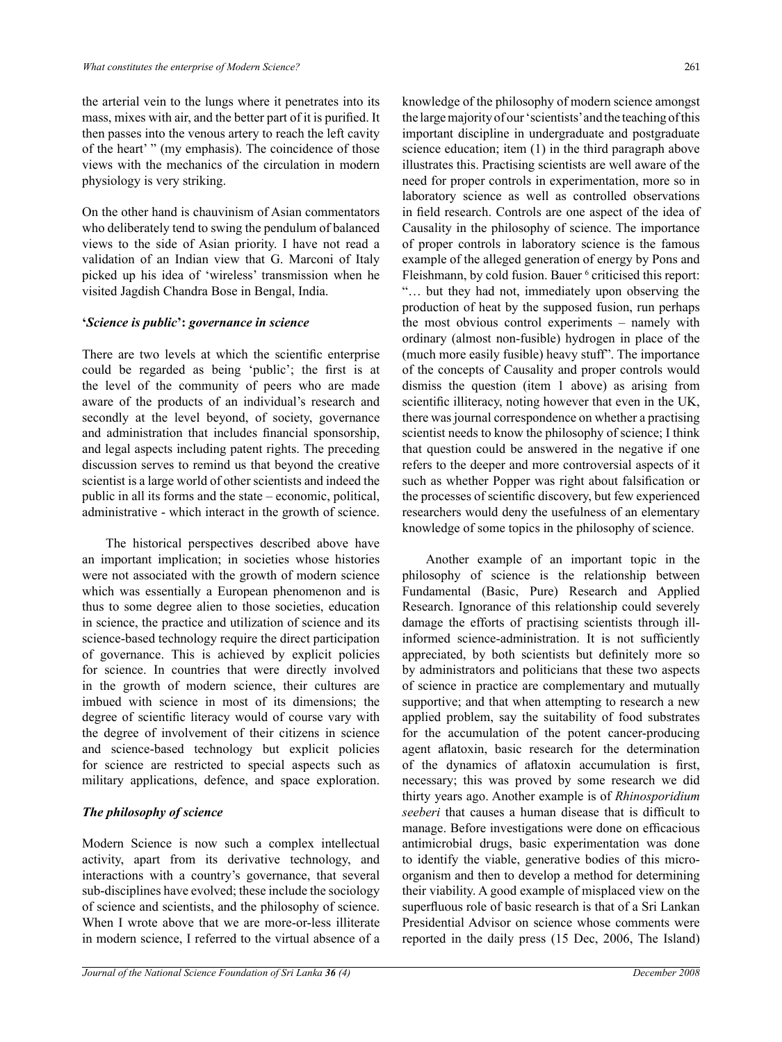the arterial vein to the lungs where it penetrates into its mass, mixes with air, and the better part of it is purified. It then passes into the venous artery to reach the left cavity of the heart' " (my emphasis). The coincidence of those views with the mechanics of the circulation in modern physiology is very striking.

On the other hand is chauvinism of Asian commentators who deliberately tend to swing the pendulum of balanced views to the side of Asian priority. I have not read a validation of an Indian view that G. Marconi of Italy picked up his idea of 'wireless' transmission when he visited Jagdish Chandra Bose in Bengal, India.

## **'***Science is public***':** *governance in science*

There are two levels at which the scientific enterprise could be regarded as being 'public'; the first is at the level of the community of peers who are made aware of the products of an individual's research and secondly at the level beyond, of society, governance and administration that includes financial sponsorship, and legal aspects including patent rights. The preceding discussion serves to remind us that beyond the creative scientist is a large world of other scientists and indeed the public in all its forms and the state – economic, political, administrative - which interact in the growth of science.

The historical perspectives described above have an important implication; in societies whose histories were not associated with the growth of modern science which was essentially a European phenomenon and is thus to some degree alien to those societies, education in science, the practice and utilization of science and its science-based technology require the direct participation of governance. This is achieved by explicit policies for science. In countries that were directly involved in the growth of modern science, their cultures are imbued with science in most of its dimensions; the degree of scientific literacy would of course vary with the degree of involvement of their citizens in science and science-based technology but explicit policies for science are restricted to special aspects such as military applications, defence, and space exploration.

# *The philosophy of science*

Modern Science is now such a complex intellectual activity, apart from its derivative technology, and interactions with a country's governance, that several sub-disciplines have evolved; these include the sociology of science and scientists, and the philosophy of science. When I wrote above that we are more-or-less illiterate in modern science, I referred to the virtual absence of a knowledge of the philosophy of modern science amongst the large majority of our 'scientists' and the teaching of this important discipline in undergraduate and postgraduate science education; item (1) in the third paragraph above illustrates this. Practising scientists are well aware of the need for proper controls in experimentation, more so in laboratory science as well as controlled observations in field research. Controls are one aspect of the idea of Causality in the philosophy of science. The importance of proper controls in laboratory science is the famous example of the alleged generation of energy by Pons and Fleishmann, by cold fusion. Bauer <sup>6</sup> criticised this report: "… but they had not, immediately upon observing the production of heat by the supposed fusion, run perhaps the most obvious control experiments – namely with ordinary (almost non-fusible) hydrogen in place of the (much more easily fusible) heavy stuff". The importance of the concepts of Causality and proper controls would dismiss the question (item 1 above) as arising from scientific illiteracy, noting however that even in the UK, there was journal correspondence on whether a practising scientist needs to know the philosophy of science; I think that question could be answered in the negative if one refers to the deeper and more controversial aspects of it such as whether Popper was right about falsification or the processes of scientific discovery, but few experienced researchers would deny the usefulness of an elementary knowledge of some topics in the philosophy of science.

Another example of an important topic in the philosophy of science is the relationship between Fundamental (Basic, Pure) Research and Applied Research. Ignorance of this relationship could severely damage the efforts of practising scientists through illinformed science-administration. It is not sufficiently appreciated, by both scientists but definitely more so by administrators and politicians that these two aspects of science in practice are complementary and mutually supportive; and that when attempting to research a new applied problem, say the suitability of food substrates for the accumulation of the potent cancer-producing agent aflatoxin, basic research for the determination of the dynamics of aflatoxin accumulation is first, necessary; this was proved by some research we did thirty years ago. Another example is of *Rhinosporidium seeberi* that causes a human disease that is difficult to manage. Before investigations were done on efficacious antimicrobial drugs, basic experimentation was done to identify the viable, generative bodies of this microorganism and then to develop a method for determining their viability. A good example of misplaced view on the superfluous role of basic research is that of a Sri Lankan Presidential Advisor on science whose comments were reported in the daily press (15 Dec, 2006, The Island)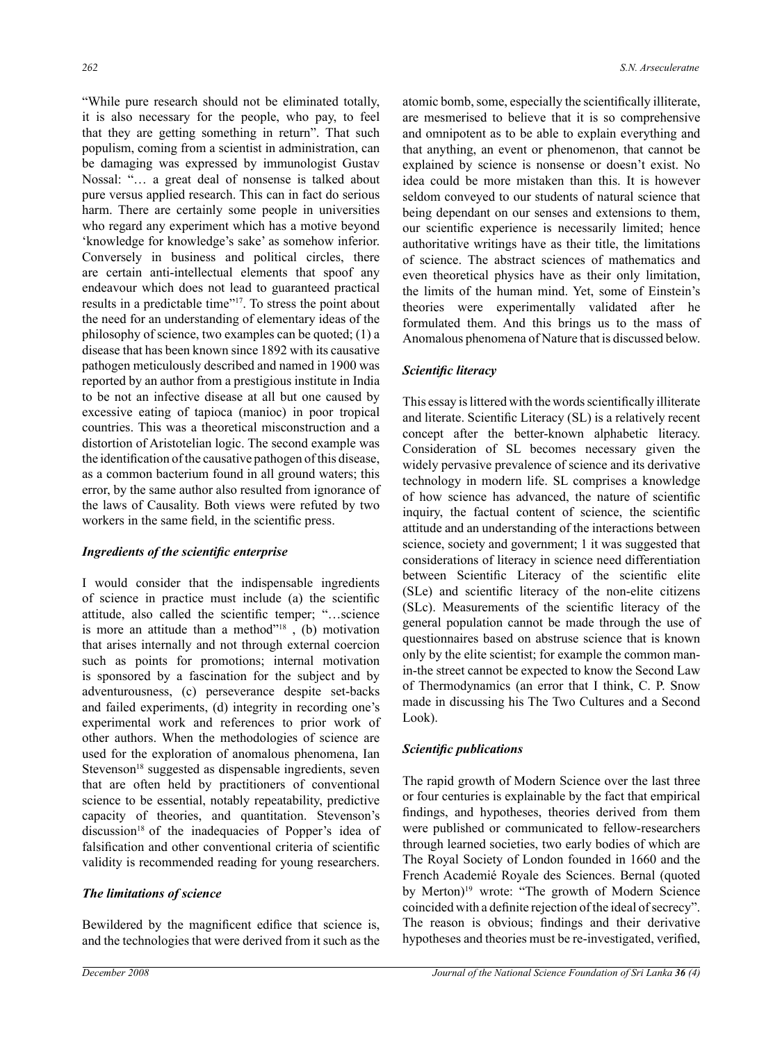"While pure research should not be eliminated totally, it is also necessary for the people, who pay, to feel that they are getting something in return". That such populism, coming from a scientist in administration, can be damaging was expressed by immunologist Gustav Nossal: "… a great deal of nonsense is talked about pure versus applied research. This can in fact do serious harm. There are certainly some people in universities who regard any experiment which has a motive beyond 'knowledge for knowledge's sake' as somehow inferior. Conversely in business and political circles, there are certain anti-intellectual elements that spoof any endeavour which does not lead to guaranteed practical results in a predictable time"17. To stress the point about the need for an understanding of elementary ideas of the philosophy of science, two examples can be quoted; (1) a disease that has been known since 1892 with its causative pathogen meticulously described and named in 1900 was reported by an author from a prestigious institute in India to be not an infective disease at all but one caused by excessive eating of tapioca (manioc) in poor tropical countries. This was a theoretical misconstruction and a distortion of Aristotelian logic. The second example was the identification of the causative pathogen of this disease, as a common bacterium found in all ground waters; this error, by the same author also resulted from ignorance of the laws of Causality. Both views were refuted by two workers in the same field, in the scientific press.

#### *Ingredients of the scientific enterprise*

I would consider that the indispensable ingredients of science in practice must include (a) the scientific attitude, also called the scientific temper; "…science is more an attitude than a method"18 , (b) motivation that arises internally and not through external coercion such as points for promotions; internal motivation is sponsored by a fascination for the subject and by adventurousness, (c) perseverance despite set-backs and failed experiments, (d) integrity in recording one's experimental work and references to prior work of other authors. When the methodologies of science are used for the exploration of anomalous phenomena, Ian Stevenson<sup>18</sup> suggested as dispensable ingredients, seven that are often held by practitioners of conventional science to be essential, notably repeatability, predictive capacity of theories, and quantitation. Stevenson's discussion<sup>18</sup> of the inadequacies of Popper's idea of falsification and other conventional criteria of scientific validity is recommended reading for young researchers.

### *The limitations of science*

Bewildered by the magnificent edifice that science is, and the technologies that were derived from it such as the

atomic bomb, some, especially the scientifically illiterate, are mesmerised to believe that it is so comprehensive and omnipotent as to be able to explain everything and that anything, an event or phenomenon, that cannot be explained by science is nonsense or doesn't exist. No idea could be more mistaken than this. It is however seldom conveyed to our students of natural science that being dependant on our senses and extensions to them, our scientific experience is necessarily limited; hence authoritative writings have as their title, the limitations of science. The abstract sciences of mathematics and even theoretical physics have as their only limitation, the limits of the human mind. Yet, some of Einstein's theories were experimentally validated after he formulated them. And this brings us to the mass of Anomalous phenomena of Nature that is discussed below.

#### *Scientific literacy*

This essay is littered with the words scientifically illiterate and literate. Scientific Literacy (SL) is a relatively recent concept after the better-known alphabetic literacy. Consideration of SL becomes necessary given the widely pervasive prevalence of science and its derivative technology in modern life. SL comprises a knowledge of how science has advanced, the nature of scientific inquiry, the factual content of science, the scientific attitude and an understanding of the interactions between science, society and government; 1 it was suggested that considerations of literacy in science need differentiation between Scientific Literacy of the scientific elite (SLe) and scientific literacy of the non-elite citizens (SLc). Measurements of the scientific literacy of the general population cannot be made through the use of questionnaires based on abstruse science that is known only by the elite scientist; for example the common manin-the street cannot be expected to know the Second Law of Thermodynamics (an error that I think, C. P. Snow made in discussing his The Two Cultures and a Second Look).

#### *Scientific publications*

The rapid growth of Modern Science over the last three or four centuries is explainable by the fact that empirical findings, and hypotheses, theories derived from them were published or communicated to fellow-researchers through learned societies, two early bodies of which are The Royal Society of London founded in 1660 and the French Academié Royale des Sciences. Bernal (quoted by Merton)19 wrote: "The growth of Modern Science coincided with a definite rejection of the ideal of secrecy". The reason is obvious; findings and their derivative hypotheses and theories must be re-investigated, verified,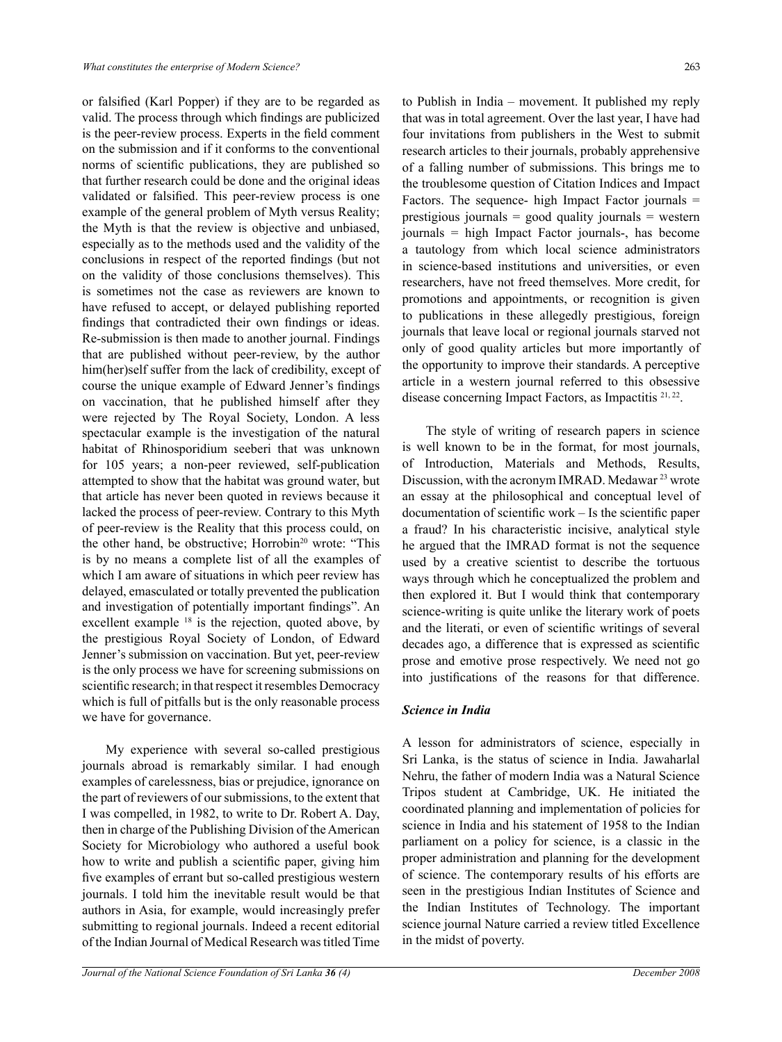or falsified (Karl Popper) if they are to be regarded as valid. The process through which findings are publicized is the peer-review process. Experts in the field comment on the submission and if it conforms to the conventional norms of scientific publications, they are published so that further research could be done and the original ideas validated or falsified. This peer-review process is one example of the general problem of Myth versus Reality; the Myth is that the review is objective and unbiased, especially as to the methods used and the validity of the conclusions in respect of the reported findings (but not on the validity of those conclusions themselves). This is sometimes not the case as reviewers are known to have refused to accept, or delayed publishing reported findings that contradicted their own findings or ideas. Re-submission is then made to another journal. Findings that are published without peer-review, by the author him(her)self suffer from the lack of credibility, except of course the unique example of Edward Jenner's findings on vaccination, that he published himself after they were rejected by The Royal Society, London. A less spectacular example is the investigation of the natural habitat of Rhinosporidium seeberi that was unknown for 105 years; a non-peer reviewed, self-publication attempted to show that the habitat was ground water, but that article has never been quoted in reviews because it lacked the process of peer-review. Contrary to this Myth of peer-review is the Reality that this process could, on the other hand, be obstructive; Horrobin<sup>20</sup> wrote: "This is by no means a complete list of all the examples of which I am aware of situations in which peer review has delayed, emasculated or totally prevented the publication and investigation of potentially important findings". An excellent example <sup>18</sup> is the rejection, quoted above, by the prestigious Royal Society of London, of Edward Jenner's submission on vaccination. But yet, peer-review is the only process we have for screening submissions on scientific research; in that respect it resembles Democracy which is full of pitfalls but is the only reasonable process we have for governance.

My experience with several so-called prestigious journals abroad is remarkably similar. I had enough examples of carelessness, bias or prejudice, ignorance on the part of reviewers of our submissions, to the extent that I was compelled, in 1982, to write to Dr. Robert A. Day, then in charge of the Publishing Division of the American Society for Microbiology who authored a useful book how to write and publish a scientific paper, giving him five examples of errant but so-called prestigious western journals. I told him the inevitable result would be that authors in Asia, for example, would increasingly prefer submitting to regional journals. Indeed a recent editorial of the Indian Journal of Medical Research was titled Time to Publish in India – movement. It published my reply that was in total agreement. Over the last year, I have had four invitations from publishers in the West to submit research articles to their journals, probably apprehensive of a falling number of submissions. This brings me to the troublesome question of Citation Indices and Impact Factors. The sequence- high Impact Factor journals = prestigious journals = good quality journals = western journals = high Impact Factor journals-, has become a tautology from which local science administrators in science-based institutions and universities, or even researchers, have not freed themselves. More credit, for promotions and appointments, or recognition is given to publications in these allegedly prestigious, foreign journals that leave local or regional journals starved not only of good quality articles but more importantly of the opportunity to improve their standards. A perceptive article in a western journal referred to this obsessive disease concerning Impact Factors, as Impactitis <sup>21, 22</sup>.

The style of writing of research papers in science is well known to be in the format, for most journals, of Introduction, Materials and Methods, Results, Discussion, with the acronym IMRAD. Medawar 23 wrote an essay at the philosophical and conceptual level of documentation of scientific work – Is the scientific paper a fraud? In his characteristic incisive, analytical style he argued that the IMRAD format is not the sequence used by a creative scientist to describe the tortuous ways through which he conceptualized the problem and then explored it. But I would think that contemporary science-writing is quite unlike the literary work of poets and the literati, or even of scientific writings of several decades ago, a difference that is expressed as scientific prose and emotive prose respectively. We need not go into justifications of the reasons for that difference.

# *Science in India*

A lesson for administrators of science, especially in Sri Lanka, is the status of science in India. Jawaharlal Nehru, the father of modern India was a Natural Science Tripos student at Cambridge, UK. He initiated the coordinated planning and implementation of policies for science in India and his statement of 1958 to the Indian parliament on a policy for science, is a classic in the proper administration and planning for the development of science. The contemporary results of his efforts are seen in the prestigious Indian Institutes of Science and the Indian Institutes of Technology. The important science journal Nature carried a review titled Excellence in the midst of poverty.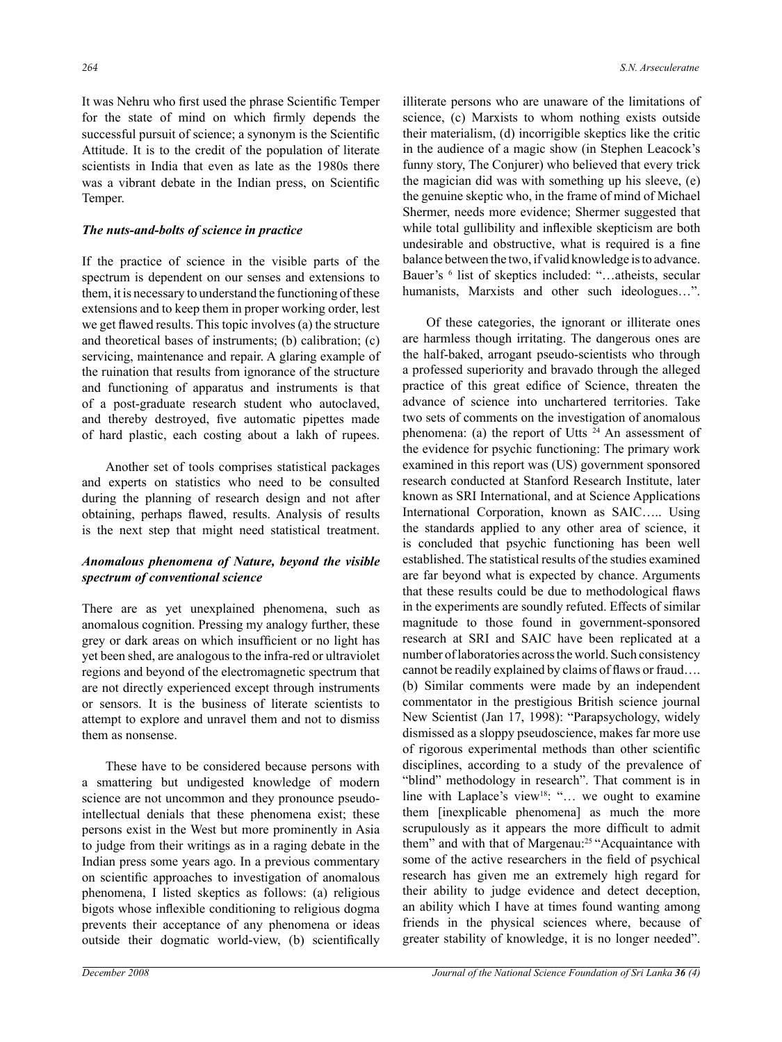It was Nehru who first used the phrase Scientific Temper for the state of mind on which firmly depends the successful pursuit of science; a synonym is the Scientific Attitude. It is to the credit of the population of literate scientists in India that even as late as the 1980s there was a vibrant debate in the Indian press, on Scientific Temper.

#### *The nuts-and-bolts of science in practice*

If the practice of science in the visible parts of the spectrum is dependent on our senses and extensions to them, it is necessary to understand the functioning of these extensions and to keep them in proper working order, lest we get flawed results. This topic involves (a) the structure and theoretical bases of instruments; (b) calibration; (c) servicing, maintenance and repair. A glaring example of the ruination that results from ignorance of the structure and functioning of apparatus and instruments is that of a post-graduate research student who autoclaved, and thereby destroyed, five automatic pipettes made of hard plastic, each costing about a lakh of rupees.

Another set of tools comprises statistical packages and experts on statistics who need to be consulted during the planning of research design and not after obtaining, perhaps flawed, results. Analysis of results is the next step that might need statistical treatment.

# *Anomalous phenomena of Nature, beyond the visible spectrum of conventional science*

There are as yet unexplained phenomena, such as anomalous cognition. Pressing my analogy further, these grey or dark areas on which insufficient or no light has yet been shed, are analogous to the infra-red or ultraviolet regions and beyond of the electromagnetic spectrum that are not directly experienced except through instruments or sensors. It is the business of literate scientists to attempt to explore and unravel them and not to dismiss them as nonsense.

These have to be considered because persons with a smattering but undigested knowledge of modern science are not uncommon and they pronounce pseudointellectual denials that these phenomena exist; these persons exist in the West but more prominently in Asia to judge from their writings as in a raging debate in the Indian press some years ago. In a previous commentary on scientific approaches to investigation of anomalous phenomena, I listed skeptics as follows: (a) religious bigots whose inflexible conditioning to religious dogma prevents their acceptance of any phenomena or ideas outside their dogmatic world-view, (b) scientifically

illiterate persons who are unaware of the limitations of science, (c) Marxists to whom nothing exists outside their materialism, (d) incorrigible skeptics like the critic in the audience of a magic show (in Stephen Leacock's funny story, The Conjurer) who believed that every trick the magician did was with something up his sleeve, (e) the genuine skeptic who, in the frame of mind of Michael Shermer, needs more evidence; Shermer suggested that while total gullibility and inflexible skepticism are both undesirable and obstructive, what is required is a fine balance between the two, if valid knowledge is to advance. Bauer's <sup>6</sup> list of skeptics included: "...atheists, secular humanists, Marxists and other such ideologues...".

Of these categories, the ignorant or illiterate ones are harmless though irritating. The dangerous ones are the half-baked, arrogant pseudo-scientists who through a professed superiority and bravado through the alleged practice of this great edifice of Science, threaten the advance of science into unchartered territories. Take two sets of comments on the investigation of anomalous phenomena: (a) the report of Utts 24 An assessment of the evidence for psychic functioning: The primary work examined in this report was (US) government sponsored research conducted at Stanford Research Institute, later known as SRI International, and at Science Applications International Corporation, known as SAIC….. Using the standards applied to any other area of science, it is concluded that psychic functioning has been well established. The statistical results of the studies examined are far beyond what is expected by chance. Arguments that these results could be due to methodological flaws in the experiments are soundly refuted. Effects of similar magnitude to those found in government-sponsored research at SRI and SAIC have been replicated at a number of laboratories across the world. Such consistency cannot be readily explained by claims of flaws or fraud…. (b) Similar comments were made by an independent commentator in the prestigious British science journal New Scientist (Jan 17, 1998): "Parapsychology, widely dismissed as a sloppy pseudoscience, makes far more use of rigorous experimental methods than other scientific disciplines, according to a study of the prevalence of "blind" methodology in research". That comment is in line with Laplace's view<sup>18</sup>: "... we ought to examine them [inexplicable phenomena] as much the more scrupulously as it appears the more difficult to admit them" and with that of Margenau:<sup>25</sup> "Acquaintance with some of the active researchers in the field of psychical research has given me an extremely high regard for their ability to judge evidence and detect deception, an ability which I have at times found wanting among friends in the physical sciences where, because of greater stability of knowledge, it is no longer needed".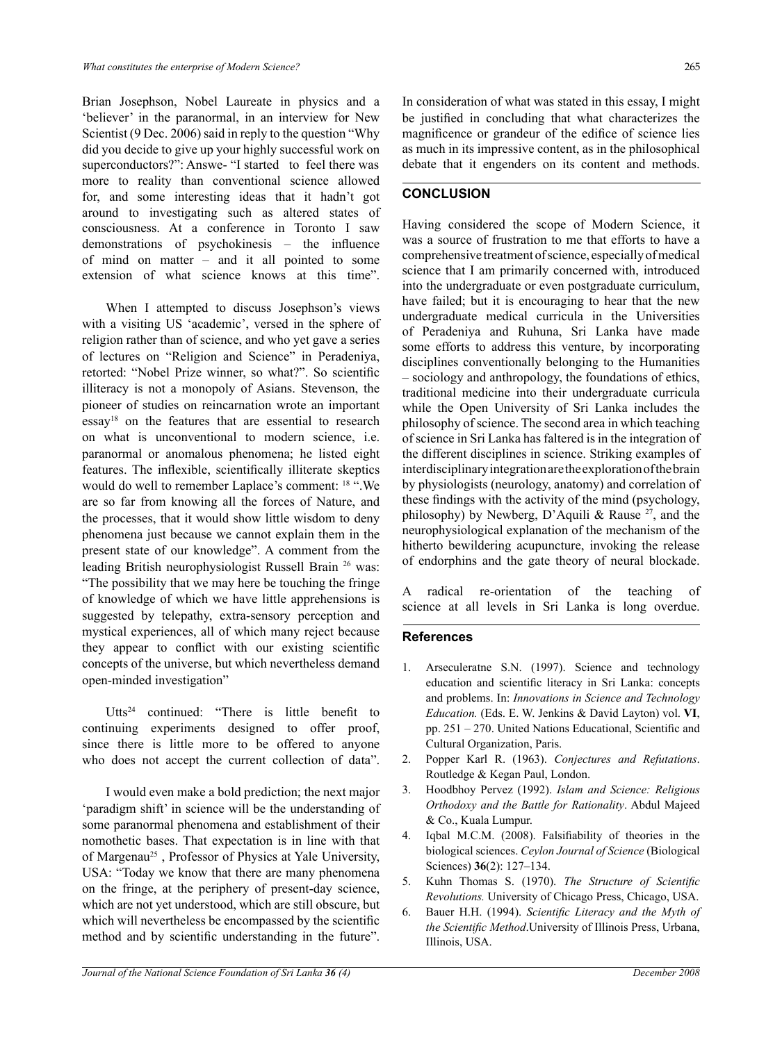Brian Josephson, Nobel Laureate in physics and a 'believer' in the paranormal, in an interview for New Scientist (9 Dec. 2006) said in reply to the question "Why did you decide to give up your highly successful work on superconductors?": Answe- "I started to feel there was more to reality than conventional science allowed for, and some interesting ideas that it hadn't got around to investigating such as altered states of consciousness. At a conference in Toronto I saw demonstrations of psychokinesis – the influence of mind on matter – and it all pointed to some extension of what science knows at this time".

When I attempted to discuss Josephson's views with a visiting US 'academic', versed in the sphere of religion rather than of science, and who yet gave a series of lectures on "Religion and Science" in Peradeniya, retorted: "Nobel Prize winner, so what?". So scientific illiteracy is not a monopoly of Asians. Stevenson, the pioneer of studies on reincarnation wrote an important essay18 on the features that are essential to research on what is unconventional to modern science, i.e. paranormal or anomalous phenomena; he listed eight features. The inflexible, scientifically illiterate skeptics would do well to remember Laplace's comment: 18 ".We are so far from knowing all the forces of Nature, and the processes, that it would show little wisdom to deny phenomena just because we cannot explain them in the present state of our knowledge". A comment from the leading British neurophysiologist Russell Brain 26 was: "The possibility that we may here be touching the fringe of knowledge of which we have little apprehensions is suggested by telepathy, extra-sensory perception and mystical experiences, all of which many reject because they appear to conflict with our existing scientific concepts of the universe, but which nevertheless demand open-minded investigation"

Utts<sup>24</sup> continued: "There is little benefit to continuing experiments designed to offer proof, since there is little more to be offered to anyone who does not accept the current collection of data".

I would even make a bold prediction; the next major 'paradigm shift' in science will be the understanding of some paranormal phenomena and establishment of their nomothetic bases. That expectation is in line with that of Margenau<sup>25</sup>, Professor of Physics at Yale University, USA: "Today we know that there are many phenomena on the fringe, at the periphery of present-day science, which are not yet understood, which are still obscure, but which will nevertheless be encompassed by the scientific method and by scientific understanding in the future".

In consideration of what was stated in this essay, I might be justified in concluding that what characterizes the magnificence or grandeur of the edifice of science lies as much in its impressive content, as in the philosophical debate that it engenders on its content and methods.

# **CONCLUSION**

Having considered the scope of Modern Science, it was a source of frustration to me that efforts to have a comprehensive treatment of science, especially of medical science that I am primarily concerned with, introduced into the undergraduate or even postgraduate curriculum, have failed; but it is encouraging to hear that the new undergraduate medical curricula in the Universities of Peradeniya and Ruhuna, Sri Lanka have made some efforts to address this venture, by incorporating disciplines conventionally belonging to the Humanities – sociology and anthropology, the foundations of ethics, traditional medicine into their undergraduate curricula while the Open University of Sri Lanka includes the philosophy of science. The second area in which teaching of science in Sri Lanka has faltered is in the integration of the different disciplines in science. Striking examples of interdisciplinary integration are the exploration of the brain by physiologists (neurology, anatomy) and correlation of these findings with the activity of the mind (psychology, philosophy) by Newberg, D'Aquili & Rause  $27$ , and the neurophysiological explanation of the mechanism of the hitherto bewildering acupuncture, invoking the release of endorphins and the gate theory of neural blockade.

A radical re-orientation of the teaching of science at all levels in Sri Lanka is long overdue.

# **References**

- 1. Arseculeratne S.N. (1997). Science and technology education and scientific literacy in Sri Lanka: concepts and problems. In: *Innovations in Science and Technology Education.* (Eds. E. W. Jenkins & David Layton) vol. **VI**, pp. 251 – 270. United Nations Educational, Scientific and Cultural Organization, Paris.
- 2. Popper Karl R. (1963). *Conjectures and Refutations*. Routledge & Kegan Paul, London.
- 3. Hoodbhoy Pervez (1992). *Islam and Science: Religious Orthodoxy and the Battle for Rationality*. Abdul Majeed & Co., Kuala Lumpur.
- 4. Iqbal M.C.M. (2008). Falsifiability of theories in the biological sciences. *Ceylon Journal of Science* (Biological Sciences) **36**(2): 127–134.
- 5. Kuhn Thomas S. (1970). *The Structure of Scientific Revolutions.* University of Chicago Press, Chicago, USA.
- 6. Bauer H.H. (1994). *Scientific Literacy and the Myth of the Scientific Method*.University of Illinois Press, Urbana, Illinois, USA.